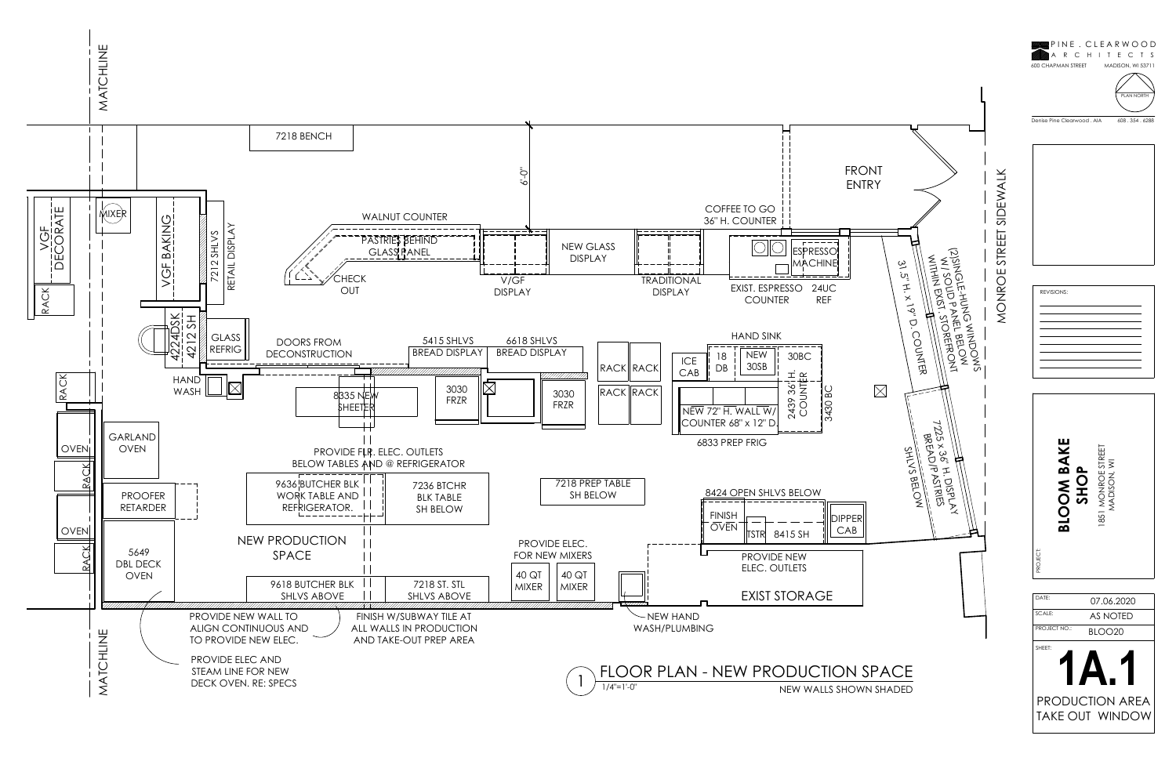





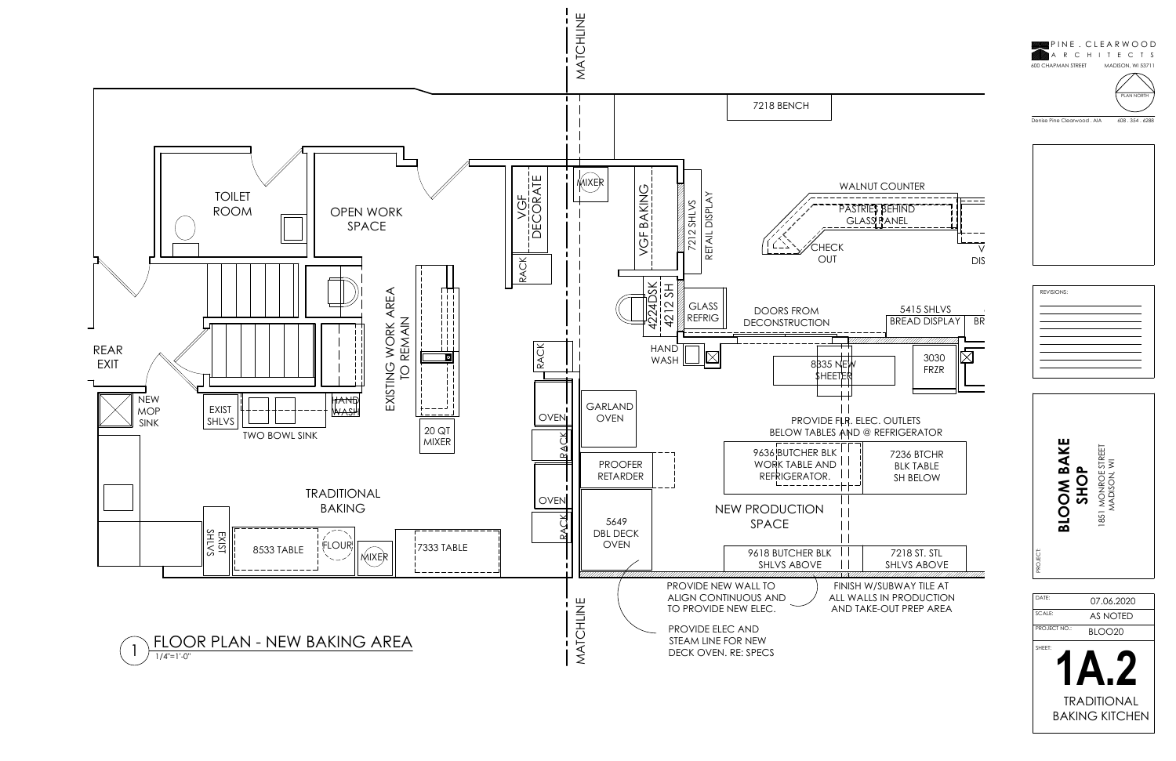







BLOO20 PROJECT NO.:







DATE:<br>SCALE:<br>PROJECT NO.:



BAKING KITCHEN

| 7218 ST. STI |  |
|--------------|--|
| SHI VS ABOVE |  |
|              |  |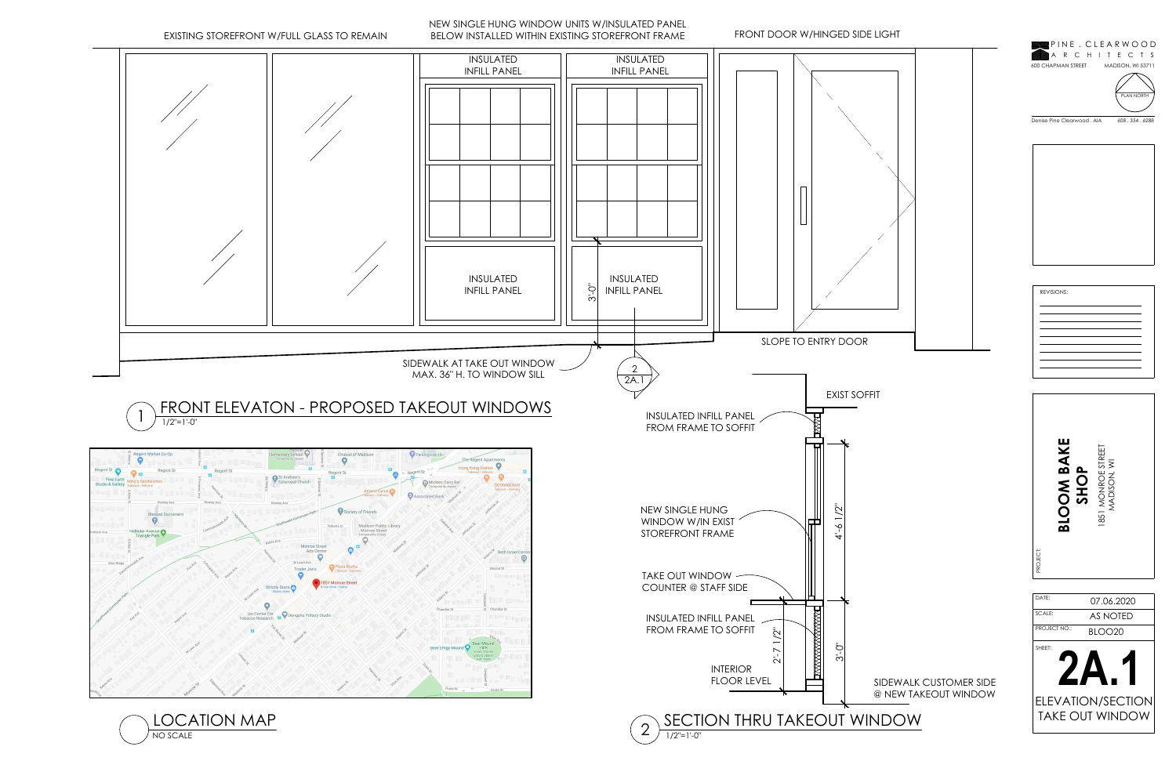# SIDEWALK CUSTOMER SIDE